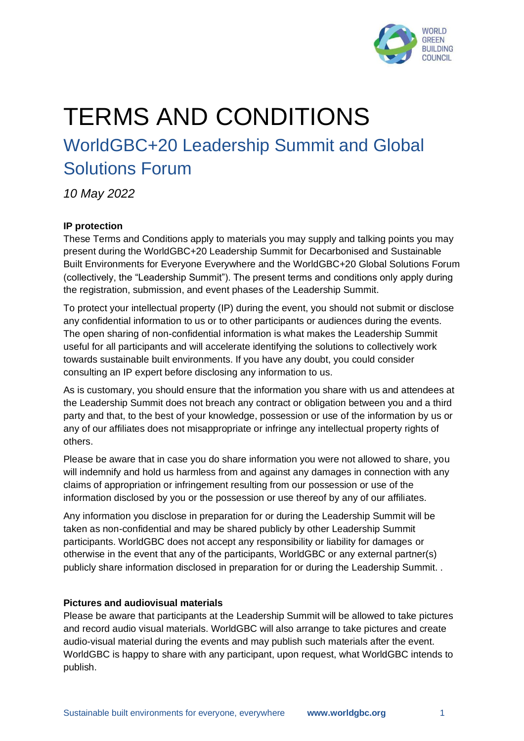

# TERMS AND CONDITIONS

# WorldGBC+20 Leadership Summit and Global Solutions Forum

*10 May 2022*

# **IP protection**

These Terms and Conditions apply to materials you may supply and talking points you may present during the WorldGBC+20 Leadership Summit for Decarbonised and Sustainable Built Environments for Everyone Everywhere and the WorldGBC+20 Global Solutions Forum (collectively, the "Leadership Summit"). The present terms and conditions only apply during the registration, submission, and event phases of the Leadership Summit.

To protect your intellectual property (IP) during the event, you should not submit or disclose any confidential information to us or to other participants or audiences during the events. The open sharing of non-confidential information is what makes the Leadership Summit useful for all participants and will accelerate identifying the solutions to collectively work towards sustainable built environments. If you have any doubt, you could consider consulting an IP expert before disclosing any information to us.

As is customary, you should ensure that the information you share with us and attendees at the Leadership Summit does not breach any contract or obligation between you and a third party and that, to the best of your knowledge, possession or use of the information by us or any of our affiliates does not misappropriate or infringe any intellectual property rights of others.

Please be aware that in case you do share information you were not allowed to share, you will indemnify and hold us harmless from and against any damages in connection with any claims of appropriation or infringement resulting from our possession or use of the information disclosed by you or the possession or use thereof by any of our affiliates.

Any information you disclose in preparation for or during the Leadership Summit will be taken as non-confidential and may be shared publicly by other Leadership Summit participants. WorldGBC does not accept any responsibility or liability for damages or otherwise in the event that any of the participants, WorldGBC or any external partner(s) publicly share information disclosed in preparation for or during the Leadership Summit. .

#### **Pictures and audiovisual materials**

Please be aware that participants at the Leadership Summit will be allowed to take pictures and record audio visual materials. WorldGBC will also arrange to take pictures and create audio-visual material during the events and may publish such materials after the event. WorldGBC is happy to share with any participant, upon request, what WorldGBC intends to publish.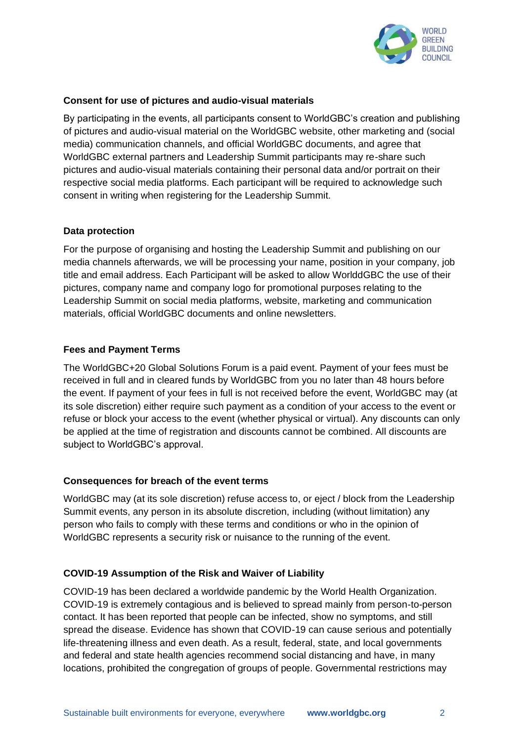

#### **Consent for use of pictures and audio-visual materials**

By participating in the events, all participants consent to WorldGBC's creation and publishing of pictures and audio-visual material on the WorldGBC website, other marketing and (social media) communication channels, and official WorldGBC documents, and agree that WorldGBC external partners and Leadership Summit participants may re-share such pictures and audio-visual materials containing their personal data and/or portrait on their respective social media platforms. Each participant will be required to acknowledge such consent in writing when registering for the Leadership Summit.

#### **Data protection**

For the purpose of organising and hosting the Leadership Summit and publishing on our media channels afterwards, we will be processing your name, position in your company, job title and email address. Each Participant will be asked to allow WorlddGBC the use of their pictures, company name and company logo for promotional purposes relating to the Leadership Summit on social media platforms, website, marketing and communication materials, official WorldGBC documents and online newsletters.

## **Fees and Payment Terms**

The WorldGBC+20 Global Solutions Forum is a paid event. Payment of your fees must be received in full and in cleared funds by WorldGBC from you no later than 48 hours before the event. If payment of your fees in full is not received before the event, WorldGBC may (at its sole discretion) either require such payment as a condition of your access to the event or refuse or block your access to the event (whether physical or virtual). Any discounts can only be applied at the time of registration and discounts cannot be combined. All discounts are subject to WorldGBC's approval.

#### **Consequences for breach of the event terms**

WorldGBC may (at its sole discretion) refuse access to, or eject / block from the Leadership Summit events, any person in its absolute discretion, including (without limitation) any person who fails to comply with these terms and conditions or who in the opinion of WorldGBC represents a security risk or nuisance to the running of the event.

## **COVID-19 Assumption of the Risk and Waiver of Liability**

COVID-19 has been declared a worldwide pandemic by the World Health Organization. COVID-19 is extremely contagious and is believed to spread mainly from person-to-person contact. It has been reported that people can be infected, show no symptoms, and still spread the disease. Evidence has shown that COVID-19 can cause serious and potentially life-threatening illness and even death. As a result, federal, state, and local governments and federal and state health agencies recommend social distancing and have, in many locations, prohibited the congregation of groups of people. Governmental restrictions may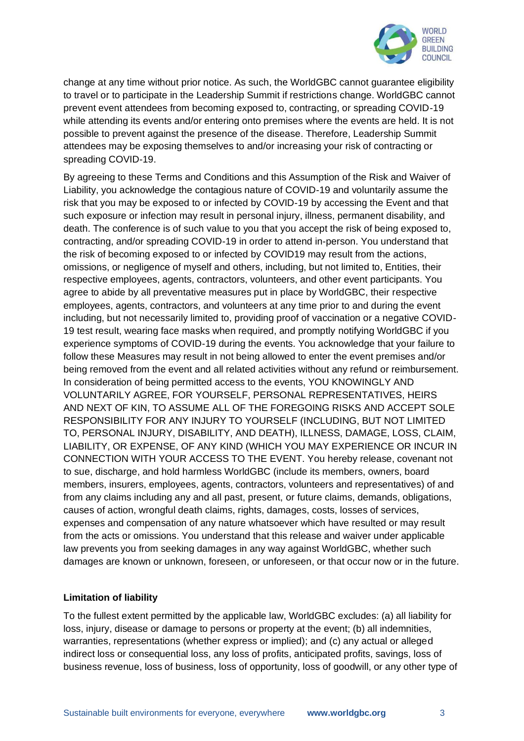

change at any time without prior notice. As such, the WorldGBC cannot guarantee eligibility to travel or to participate in the Leadership Summit if restrictions change. WorldGBC cannot prevent event attendees from becoming exposed to, contracting, or spreading COVID-19 while attending its events and/or entering onto premises where the events are held. It is not possible to prevent against the presence of the disease. Therefore, Leadership Summit attendees may be exposing themselves to and/or increasing your risk of contracting or spreading COVID-19.

By agreeing to these Terms and Conditions and this Assumption of the Risk and Waiver of Liability, you acknowledge the contagious nature of COVID-19 and voluntarily assume the risk that you may be exposed to or infected by COVID-19 by accessing the Event and that such exposure or infection may result in personal injury, illness, permanent disability, and death. The conference is of such value to you that you accept the risk of being exposed to, contracting, and/or spreading COVID-19 in order to attend in-person. You understand that the risk of becoming exposed to or infected by COVID19 may result from the actions, omissions, or negligence of myself and others, including, but not limited to, Entities, their respective employees, agents, contractors, volunteers, and other event participants. You agree to abide by all preventative measures put in place by WorldGBC, their respective employees, agents, contractors, and volunteers at any time prior to and during the event including, but not necessarily limited to, providing proof of vaccination or a negative COVID-19 test result, wearing face masks when required, and promptly notifying WorldGBC if you experience symptoms of COVID-19 during the events. You acknowledge that your failure to follow these Measures may result in not being allowed to enter the event premises and/or being removed from the event and all related activities without any refund or reimbursement. In consideration of being permitted access to the events, YOU KNOWINGLY AND VOLUNTARILY AGREE, FOR YOURSELF, PERSONAL REPRESENTATIVES, HEIRS AND NEXT OF KIN, TO ASSUME ALL OF THE FOREGOING RISKS AND ACCEPT SOLE RESPONSIBILITY FOR ANY INJURY TO YOURSELF (INCLUDING, BUT NOT LIMITED TO, PERSONAL INJURY, DISABILITY, AND DEATH), ILLNESS, DAMAGE, LOSS, CLAIM, LIABILITY, OR EXPENSE, OF ANY KIND (WHICH YOU MAY EXPERIENCE OR INCUR IN CONNECTION WITH YOUR ACCESS TO THE EVENT. You hereby release, covenant not to sue, discharge, and hold harmless WorldGBC (include its members, owners, board members, insurers, employees, agents, contractors, volunteers and representatives) of and from any claims including any and all past, present, or future claims, demands, obligations, causes of action, wrongful death claims, rights, damages, costs, losses of services, expenses and compensation of any nature whatsoever which have resulted or may result from the acts or omissions. You understand that this release and waiver under applicable law prevents you from seeking damages in any way against WorldGBC, whether such damages are known or unknown, foreseen, or unforeseen, or that occur now or in the future.

#### **Limitation of liability**

To the fullest extent permitted by the applicable law, WorldGBC excludes: (a) all liability for loss, injury, disease or damage to persons or property at the event; (b) all indemnities, warranties, representations (whether express or implied); and (c) any actual or alleged indirect loss or consequential loss, any loss of profits, anticipated profits, savings, loss of business revenue, loss of business, loss of opportunity, loss of goodwill, or any other type of